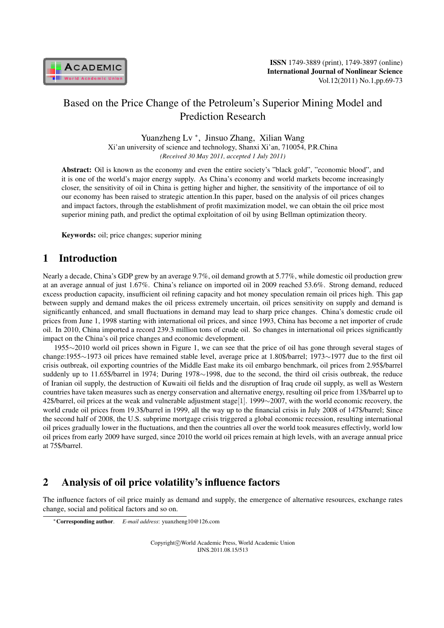

# Based on the Price Change of the Petroleum's Superior Mining Model and Prediction Research

Yuanzheng Lv *<sup>∗</sup>* , Jinsuo Zhang, Xilian Wang Xi'an university of science and technology, Shanxi Xi'an, 710054, P.R.China *(Received 30 May 2011, accepted 1 July 2011)*

Abstract: Oil is known as the economy and even the entire society's "black gold", "economic blood", and it is one of the world's major energy supply. As China's economy and world markets become increasingly closer, the sensitivity of oil in China is getting higher and higher, the sensitivity of the importance of oil to our economy has been raised to strategic attention.In this paper, based on the analysis of oil prices changes and impact factors, through the establishment of profit maximization model, we can obtain the oil price most superior mining path, and predict the optimal exploitation of oil by using Bellman optimization theory.

Keywords: oil; price changes; superior mining

# 1 Introduction

Nearly a decade, China's GDP grew by an average 9.7%, oil demand growth at 5.77%, while domestic oil production grew at an average annual of just 1.67%. China's reliance on imported oil in 2009 reached 53.6%. Strong demand, reduced excess production capacity, insufficient oil refining capacity and hot money speculation remain oil prices high. This gap between supply and demand makes the oil pricess extremely uncertain, oil prices sensitivity on supply and demand is significantly enhanced, and small fluctuations in demand may lead to sharp price changes. China's domestic crude oil prices from June 1, 1998 starting with international oil prices, and since 1993, China has become a net importer of crude oil. In 2010, China imported a record 239.3 million tons of crude oil. So changes in international oil prices significantly impact on the China's oil price changes and economic development.

1955*∼*2010 world oil prices shown in Figure 1, we can see that the price of oil has gone through several stages of change:1955*∼*1973 oil prices have remained stable level, average price at 1.80\$/barrel; 1973*∼*1977 due to the first oil crisis outbreak, oil exporting countries of the Middle East make its oil embargo benchmark, oil prices from 2.95\$/barrel suddenly up to 11.65\$/barrel in 1974; During 1978*∼*1998, due to the second, the third oil crisis outbreak, the reduce of Iranian oil supply, the destruction of Kuwaiti oil fields and the disruption of Iraq crude oil supply, as well as Western countries have taken measures such as energy conservation and alternative energy, resulting oil price from 13\$/barrel up to 42\$/barrel, oil prices at the weak and vulnerable adjustment stage[1]. 1999*∼*2007, with the world economic recovery, the world crude oil prices from 19.3\$/barrel in 1999, all the way up to the financial crisis in July 2008 of 147\$/barrel; Since the second half of 2008, the U.S. subprime mortgage crisis triggered a global economic recession, resulting international oil prices gradually lower in the fluctuations, and then the countries all over the world took measures effectivly, world low oil prices from early 2009 have surged, since 2010 the world oil prices remain at high levels, with an average annual price at 75\$/barrel.

# 2 Analysis of oil price volatility's influence factors

The influence factors of oil price mainly as demand and supply, the emergence of alternative resources, exchange rates change, social and political factors and so on.

Copyright*⃝*c World Academic Press, World Academic Union IJNS.2011.08.15/513

*<sup>∗</sup>*Corresponding author. *E-mail address*: yuanzheng10@126.com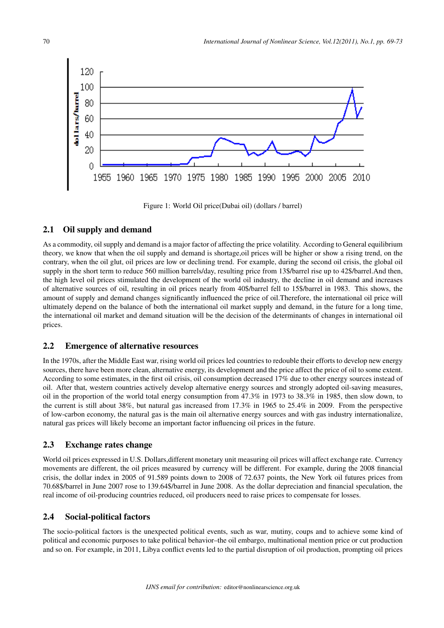

Figure 1: World Oil price(Dubai oil) (dollars / barrel)

### 2.1 Oil supply and demand

As a commodity, oil supply and demand is a major factor of affecting the price volatility. According to General equilibrium theory, we know that when the oil supply and demand is shortage,oil prices will be higher or show a rising trend, on the contrary, when the oil glut, oil prices are low or declining trend. For example, during the second oil crisis, the global oil supply in the short term to reduce 560 million barrels/day, resulting price from 13\$/barrel rise up to 42\$/barrel.And then, the high level oil prices stimulated the development of the world oil industry, the decline in oil demand and increases of alternative sources of oil, resulting in oil prices nearly from 40\$/barrel fell to 15\$/barrel in 1983. This shows, the amount of supply and demand changes significantly influenced the price of oil.Therefore, the international oil price will ultimately depend on the balance of both the international oil market supply and demand, in the future for a long time, the international oil market and demand situation will be the decision of the determinants of changes in international oil prices.

### 2.2 Emergence of alternative resources

In the 1970s, after the Middle East war, rising world oil prices led countries to redouble their efforts to develop new energy sources, there have been more clean, alternative energy, its development and the price affect the price of oil to some extent. According to some estimates, in the first oil crisis, oil consumption decreased 17% due to other energy sources instead of oil. After that, western countries actively develop alternative energy sources and strongly adopted oil-saving measures, oil in the proportion of the world total energy consumption from  $47.3\%$  in 1973 to 38.3% in 1985, then slow down, to the current is still about 38%, but natural gas increased from 17.3% in 1965 to 25.4% in 2009. From the perspective of low-carbon economy, the natural gas is the main oil alternative energy sources and with gas industry internationalize, natural gas prices will likely become an important factor influencing oil prices in the future.

#### 2.3 Exchange rates change

World oil prices expressed in U.S. Dollars,different monetary unit measuring oil prices will affect exchange rate. Currency movements are different, the oil prices measured by currency will be different. For example, during the 2008 financial crisis, the dollar index in 2005 of 91.589 points down to 2008 of 72.637 points, the New York oil futures prices from 70.68\$/barrel in June 2007 rose to 139.64\$/barrel in June 2008. As the dollar depreciation and financial speculation, the real income of oil-producing countries reduced, oil producers need to raise prices to compensate for losses.

#### 2.4 Social-political factors

The socio-political factors is the unexpected political events, such as war, mutiny, coups and to achieve some kind of political and economic purposes to take political behavior–the oil embargo, multinational mention price or cut production and so on. For example, in 2011, Libya conflict events led to the partial disruption of oil production, prompting oil prices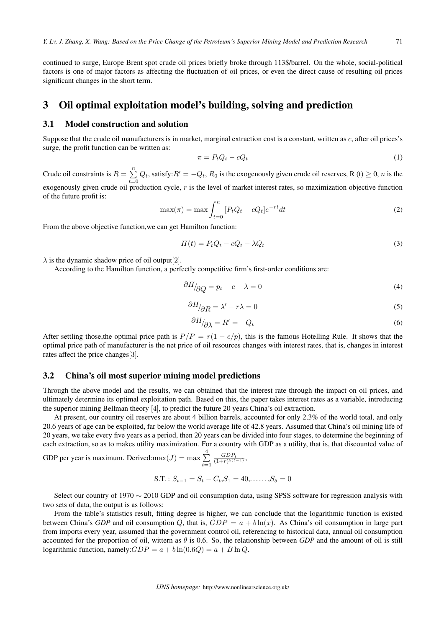continued to surge, Europe Brent spot crude oil prices briefly broke through 113\$/barrel. On the whole, social-political factors is one of major factors as affecting the fluctuation of oil prices, or even the direct cause of resulting oil prices significant changes in the short term.

## 3 Oil optimal exploitation model's building, solving and prediction

#### 3.1 Model construction and solution

Suppose that the crude oil manufacturers is in market, marginal extraction cost is a constant, written as c, after oil prices's surge, the profit function can be written as:

$$
\pi = P_t Q_t - c Q_t \tag{1}
$$

Crude oil constraints is  $R = \sum_{n=1}^{\infty}$  $\sum_{t=0} Q_t$ , satisfy: $R' = -Q_t$ ,  $R_0$  is the exogenously given crude oil reserves, R (t)  $\geq 0$ , *n* is the exogenously given crude oil production cycle,  $r$  is the level of market interest rates, so maximization objective function of the future profit is:

$$
\max(\pi) = \max \int_{t=0}^{n} \left[ P_t Q_t - c Q_t \right] e^{-rt} dt \tag{2}
$$

From the above objective function,we can get Hamilton function:

$$
H(t) = P_t Q_t - cQ_t - \lambda Q_t \tag{3}
$$

 $\lambda$  is the dynamic shadow price of oil output[2].

According to the Hamilton function, a perfectly competitive firm's first-order conditions are:

$$
\partial H_{\partial Q} = p_t - c - \lambda = 0 \tag{4}
$$

$$
\frac{\partial H}{\partial R} = \lambda' - r\lambda = 0\tag{5}
$$

$$
\partial H_{\partial \lambda} = R' = -Q_t \tag{6}
$$

After settling those, the optimal price path is  $\overline{P}/P = r(1 - c/p)$ , this is the famous Hotelling Rule. It shows that the optimal price path of manufacturer is the net price of oil resources changes with interest rates, that is, changes in interest rates affect the price changes[3].

#### 3.2 China's oil most superior mining model predictions

Through the above model and the results, we can obtained that the interest rate through the impact on oil prices, and ultimately determine its optimal exploitation path. Based on this, the paper takes interest rates as a variable, introducing the superior mining Bellman theory [4], to predict the future 20 years China's oil extraction.

At present, our country oil reserves are about 4 billion barrels, accounted for only 2.3% of the world total, and only 20.6 years of age can be exploited, far below the world average life of 42.8 years. Assumed that China's oil mining life of 20 years, we take every five years as a period, then 20 years can be divided into four stages, to determine the beginning of each extraction, so as to makes utility maximization. For a country with GDP as a utility, that is, that discounted value of

GDP per year is maximum. Derived: $\max(J) = \max \sum_{i=1}^{4}$  $t=1$  $\frac{GDP_t}{(1+r)^{5(t-1)}},$ 

$$
S.T. : S_{t-1} = S_t - C_t, S_1 = 40, \dots, S_5 = 0
$$

Select our country of 1970 *∼* 2010 GDP and oil consumption data, using SPSS software for regression analysis with two sets of data, the output is as follows:

From the table's statistics result, fitting degree is higher, we can conclude that the logarithmic function is existed between China's *GDP* and oil consumption Q, that is,  $GDP = a + b\ln(x)$ . As China's oil consumption in large part from imports every year, assumed that the government control oil, referencing to historical data, annual oil consumption accounted for the proportion of oil, wittern as  $\theta$  is 0.6. So, the relationship between *GDP* and the amount of oil is still logarithmic function, namely:  $GDP = a + b \ln(0.6Q) = a + B \ln Q$ .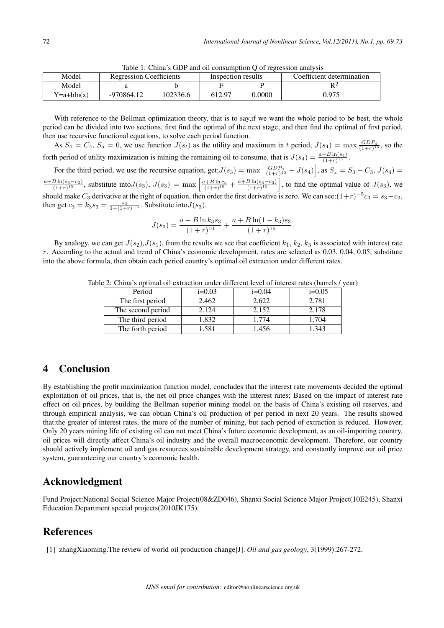|  | Model        | <b>Regression Coefficients</b> |          | Inspection results |        | Coefficient determination |  |
|--|--------------|--------------------------------|----------|--------------------|--------|---------------------------|--|
|  | Model        |                                |          |                    |        |                           |  |
|  | $Y=a+bln(x)$ | -970864.12                     | 102336.6 | 612.97             | 0.0000 | 0.975                     |  |

Table 1: China's GDP and oil consumption Q of regression analysis

With reference to the Bellman optimization theory, that is to say, if we want the whole period to be best, the whole period can be divided into two sections, first find the optimal of the next stage, and then find the optimal of first period, then use recursive functional equations, to solve each period function.

As  $S_4 = C_4$ ,  $S_5 = 0$ , we use function  $J(s_t)$  as the utility and maximum in t period,  $J(s_4) = \max \frac{GDP_4}{(1+r)^{15}}$ , so the forth period of utility maximization is mining the remaining oil to consume, that is  $J(s_4) = \frac{a+B\ln(s_4)}{(1+r)^{15}}$ .

For the third period, we use the recursive equation, get: $J(s_3) = \max \left[ \frac{GDP_3}{(1+r)^{10}} + J(s_4) \right]$ , as  $S_4 = S_3 - C_3$ ,  $J(s_4) =$  $\frac{a+B\ln(s_3-c_3)}{(1+r)^{15}}$ , substitute into $J(s_3)$ ,  $J(s_3) = \max\left[\frac{a+B\ln c_3}{(1+r)^{10}} + \frac{a+B\ln(s_3-c_3)}{(1+r)^{15}}\right]$ , to find the optimal value of  $J(s_3)$ , we should make  $C_3$  derivative at the right of equation, then order the first derivative is zero. We can see: $(1+r)^{-5}c_3 = s_3 - c_3$ , then get  $c_3 = k_3 s_3 = \frac{s_3}{1 + (1+r)^{-5}}$ . Substitute into  $J(s_3)$ ,

$$
J(s_3) = \frac{a + B \ln k_3 s_3}{(1+r)^{10}} + \frac{a + B \ln(1-k_3)s_3}{(1+r)^{15}}.
$$

By analogy, we can get  $J(s_2)$ ,  $J(s_1)$ , from the results we see that coefficient  $k_1$ ,  $k_2$ ,  $k_3$  is associated with interest rate  $r$ . According to the actual and trend of China's economic development, rates are selected as  $0.03, 0.04, 0.05$ , substitute into the above formula, then obtain each period country's optimal oil extraction under different rates.

| abie 2. China s'optimal on extraction under different level of interest rates (barreis / yea |                  |          |          |          |  |  |
|----------------------------------------------------------------------------------------------|------------------|----------|----------|----------|--|--|
|                                                                                              | Period           | $i=0.03$ | $i=0.04$ | $i=0.05$ |  |  |
|                                                                                              | The first period | 2.462    | 2.622    | 2.781    |  |  |

The second period 2.124 2.152 2.178 The third period 1.832 1.774 1.704 The forth period 1.581 1.456 1.343

Table 2: China's optimal oil extraction under different level of interest rates (barrels / year)

# 4 Conclusion

By establishing the profit maximization function model, concludes that the interest rate movements decided the optimal exploitation of oil prices, that is, the net oil price changes with the interest rates; Based on the impact of interest rate effect on oil prices, by building the Bellman superior mining model on the basis of China's existing oil reserves, and through empirical analysis, we can obtian China's oil production of per period in next 20 years. The results showed that:the greater of interest rates, the more of the number of mining, but each period of extraction is reduced. However, Only 20 years mining life of existing oil can not meet China's future economic development, as an oil-importing country, oil prices will directly affect China's oil industry and the overall macroeconomic development. Therefore, our country should actively implement oil and gas resources sustainable development strategy, and constantly improve our oil price system, guaranteeing our country's economic health.

# Acknowledgment

Fund Project:National Social Science Major Project(08&ZD046), Shanxi Social Science Major Project(10E245), Shanxi Education Department special projects(2010JK175).

## References

[1] zhangXiaoming.The review of world oil production change[J]. *Oil and gas geology*, 3(1999):267-272.